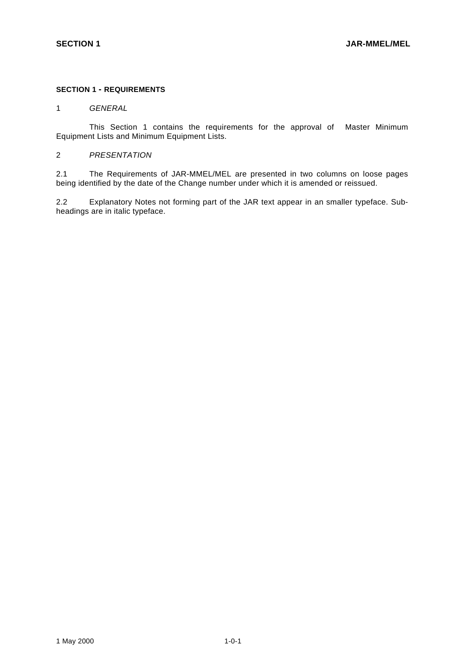# **SECTION 1 - REQUIREMENTS**

# 1 *GENERAL*

This Section 1 contains the requirements for the approval of Master Minimum Equipment Lists and Minimum Equipment Lists.

# 2 *PRESENTATION*

2.1 The Requirements of JAR-MMEL/MEL are presented in two columns on loose pages being identified by the date of the Change number under which it is amended or reissued.

2.2 Explanatory Notes not forming part of the JAR text appear in an smaller typeface. Subheadings are in italic typeface.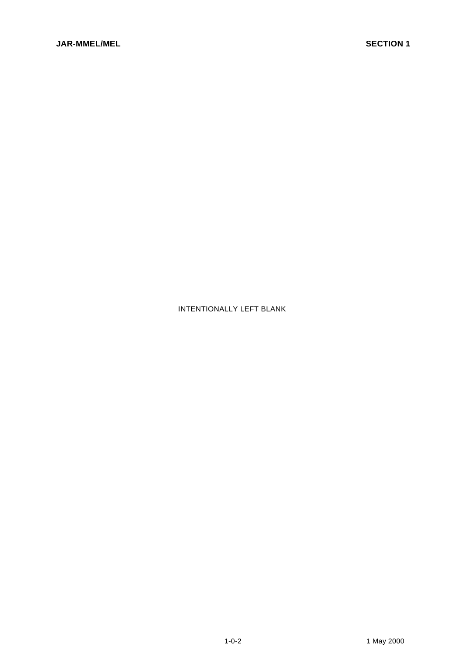# INTENTIONALLY LEFT BLANK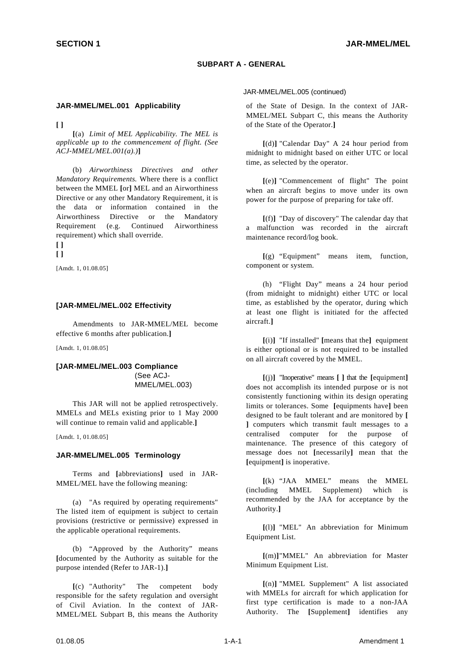# **SUBPART A - GENERAL**

# **JAR-MMEL/MEL.001 Applicability**

# **[ ]**

**[**(a) *Limit of MEL Applicability. The MEL is applicable up to the commencement of flight. (See ACJ*-*MMEL/MEL.001(a).)***]**

 (b) *Airworthiness Directives and other Mandatory Requirements.* Where there is a conflict between the MMEL **[**or**]** MEL and an Airworthiness Directive or any other Mandatory Requirement, it is the data or information contained in the Airworthiness Directive or the Mandatory Requirement (e.g. Continued Airworthiness requirement) which shall override.

#### **[ ] [ ]**

[Amdt. 1, 01.08.05]

# **[JAR-MMEL/MEL.002 Effectivity**

 Amendments to JAR-MMEL/MEL become effective 6 months after publication.**]**

[Amdt. 1, 01.08.05]

# **[JAR-MMEL/MEL.003 Compliance**  (See ACJ-MMEL/MEL.003)

 This JAR will not be applied retrospectively. MMELs and MELs existing prior to 1 May 2000 will continue to remain valid and applicable.**]**

[Amdt. 1, 01.08.05]

# **JAR-MMEL/MEL.005 Terminology**

 Terms and **[**abbreviations**]** used in JAR-MMEL/MEL have the following meaning:

 (a) "As required by operating requirements" The listed item of equipment is subject to certain provisions (restrictive or permissive) expressed in the applicable operational requirements.

 (b) "Approved by the Authority" means **[**documented by the Authority as suitable for the purpose intended (Refer to JAR-1).**]** 

**[**(c) "Authority" The competent body responsible for the safety regulation and oversight of Civil Aviation. In the context of JAR-MMEL/MEL Subpart B, this means the Authority

# JAR-MMEL/MEL.005 (continued)

of the State of Design. In the context of JAR-MMEL/MEL Subpart C, this means the Authority of the State of the Operator.**]**

**[**(d)**]** "Calendar Day" A 24 hour period from midnight to midnight based on either UTC or local time, as selected by the operator.

**[**(e)**]** "Commencement of flight" The point when an aircraft begins to move under its own power for the purpose of preparing for take off.

**[**(f)**]** "Day of discovery" The calendar day that a malfunction was recorded in the aircraft maintenance record/log book.

**[**(g) "Equipment" means item, function, component or system.

 (h) "Flight Day" means a 24 hour period (from midnight to midnight) either UTC or local time, as established by the operator, during which at least one flight is initiated for the affected aircraft.**]** 

**[**(i)**]** "If installed" **[**means that the**]** equipment is either optional or is not required to be installed on all aircraft covered by the MMEL.

**[**(j)**]** "Inoperative" means **[ ]** that the **[**equipment**]** does not accomplish its intended purpose or is not consistently functioning within its design operating limits or tolerances. Some **[**equipments have**]** been designed to be fault tolerant and are monitored by **[ ]** computers which transmit fault messages to a centralised computer for the purpose of maintenance. The presence of this category of message does not **[**necessarily**]** mean that the **[**equipment**]** is inoperative.

**[**(k) "JAA MMEL" means the MMEL (including MMEL Supplement) which is recommended by the JAA for acceptance by the Authority.**]** 

**[**(l)**]** "MEL" An abbreviation for Minimum Equipment List.

**[**(m)**]** "MMEL" An abbreviation for Master Minimum Equipment List.

**[**(n)**]** "MMEL Supplement" A list associated with MMELs for aircraft for which application for first type certification is made to a non-JAA Authority. The **[**Supplement**]** identifies any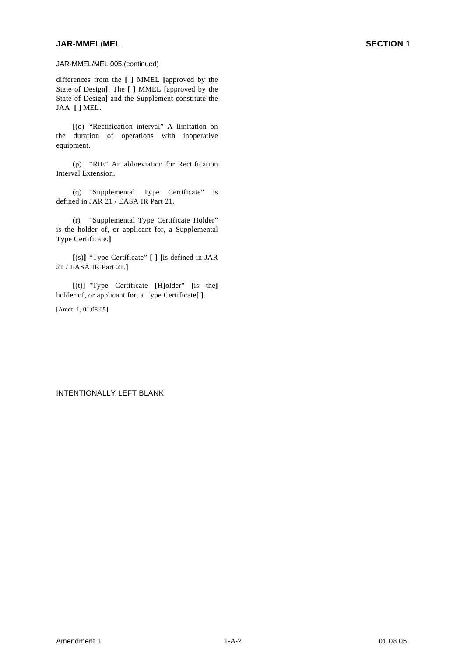# **JAR-MMEL/MEL** SECTION 1

# JAR-MMEL/MEL.005 (continued)

differences from the **[ ]** MMEL **[**approved by the State of Design**]**. The **[ ]** MMEL **[**approved by the State of Design**]** and the Supplement constitute the JAA **[ ]** MEL.

**[**(o) "Rectification interval" A limitation on the duration of operations with inoperative equipment.

 (p) "RIE" An abbreviation for Rectification Interval Extension.

 (q) "Supplemental Type Certificate" is defined in JAR 21 / EASA IR Part 21.

 (r) "Supplemental Type Certificate Holder" is the holder of, or applicant for, a Supplemental Type Certificate.**]** 

**[**(s)**]** "Type Certificate" **[ ] [**is defined in JAR 21 / EASA IR Part 21.**]** 

**[**(t)**]** "Type Certificate **[**H**]**older" **[**is the**]**  holder of, or applicant for, a Type Certificate**[ ]**.

[Amdt. 1, 01.08.05]

# INTENTIONALLY LEFT BLANK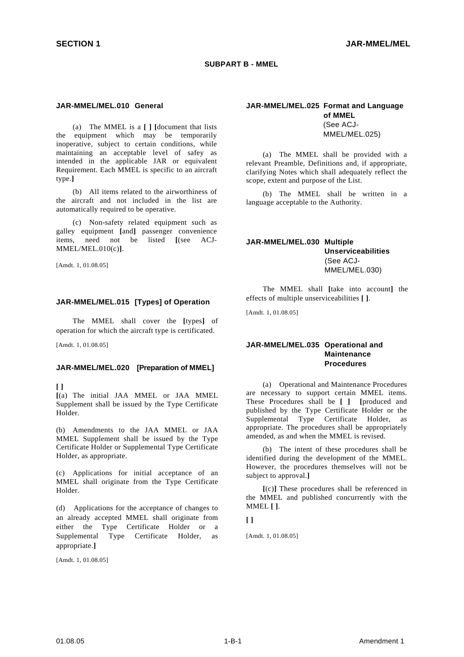# **SUBPART B - MMEL**

#### **JAR-MMEL/MEL.010 General**

 (a) The MMEL is a **[ ] [**document that lists the equipment which may be temporarily inoperative, subject to certain conditions, while maintaining an acceptable level of safey as intended in the applicable JAR or equivalent Requirement. Each MMEL is specific to an aircraft type.**]**

 (b) All items related to the airworthiness of the aircraft and not included in the list are automatically required to be operative.

 (c) Non-safety related equipment such as galley equipment **[**and**]** passenger convenience items, need not be listed **[**(see ACJ-MMEL/MEL.010(c)**]**.

[Amdt. 1, 01.08.05]

#### **JAR-MMEL/MEL.015 [Types] of Operation**

 The MMEL shall cover the **[**types**]** of operation for which the aircraft type is certificated.

[Amdt. 1, 01.08.05]

#### **JAR-MMEL/MEL.020 [Preparation of MMEL]**

#### **[ ]**

**[**(a) The initial JAA MMEL or JAA MMEL Supplement shall be issued by the Type Certificate Holder.

(b) Amendments to the JAA MMEL or JAA MMEL Supplement shall be issued by the Type Certificate Holder or Supplemental Type Certificate Holder, as appropriate.

(c) Applications for initial acceptance of an MMEL shall originate from the Type Certificate Holder.

(d) Applications for the acceptance of changes to an already accepted MMEL shall originate from either the Type Certificate Holder or a Supplemental Type Certificate Holder, as appropriate.**]** 

[Amdt. 1, 01.08.05]

# **JAR-MMEL/MEL.025 Format and Language of MMEL**  (See ACJ-

MMEL/MEL.025)

 (a) The MMEL shall be provided with a relevant Preamble, Definitions and, if appropriate, clarifying Notes which shall adequately reflect the scope, extent and purpose of the List.

 (b) The MMEL shall be written in a language acceptable to the Authority.

# **JAR-MMEL/MEL.030 Multiple Unserviceabilities** (See ACJ-MMEL/MEL.030)

 The MMEL shall **[**take into account**]** the effects of multiple unserviceabilities **[ ]**.

[Amdt. 1, 01.08.05]

# **JAR-MMEL/MEL.035 Operational and Maintenance Procedures**

 (a) Operational and Maintenance Procedures are necessary to support certain MMEL items. These Procedures shall be **[ ] [**produced and published by the Type Certificate Holder or the Supplemental Type Certificate Holder, as appropriate. The procedures shall be appropriately amended, as and when the MMEL is revised.

 (b) The intent of these procedures shall be identified during the development of the MMEL. However, the procedures themselves will not be subject to approval.**]** 

**[**(c)**]** These procedures shall be referenced in the MMEL and published concurrently with the MMEL **[ ]**.

**[ ]** 

[Amdt. 1, 01.08.05]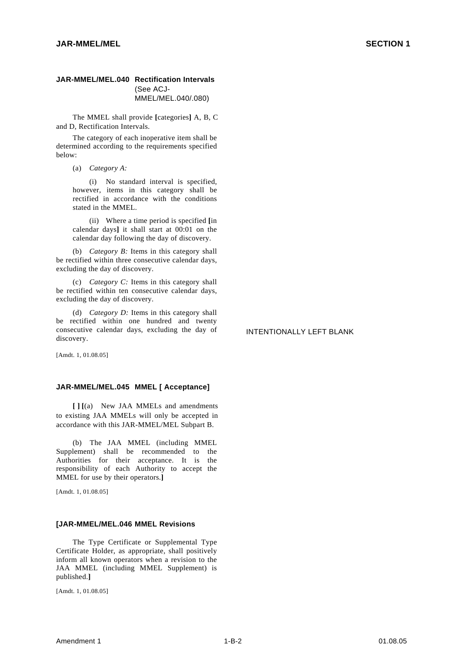# **JAR-MMEL/MEL.040 Rectification Intervals**  (See ACJ-MMEL/MEL.040/.080)

 The MMEL shall provide **[**categories**]** A, B, C and D, Rectification Intervals.

 The category of each inoperative item shall be determined according to the requirements specified below:

(a) *Category A:* 

 (i) No standard interval is specified, however, items in this category shall be rectified in accordance with the conditions stated in the MMEL.

 (ii) Where a time period is specified **[**in calendar days**]** it shall start at 00:01 on the calendar day following the day of discovery.

 (b) *Category B:* Items in this category shall be rectified within three consecutive calendar days, excluding the day of discovery.

 (c) *Category C:* Items in this category shall be rectified within ten consecutive calendar days, excluding the day of discovery.

 (d) *Category D:* Items in this category shall be rectified within one hundred and twenty consecutive calendar days, excluding the day of discovery.

INTENTIONALLY LEFT BLANK

[Amdt. 1, 01.08.05]

# **JAR-MMEL/MEL.045 MMEL [ Acceptance]**

**[ ] [**(a) New JAA MMELs and amendments to existing JAA MMELs will only be accepted in accordance with this JAR-MMEL/MEL Subpart B.

 (b) The JAA MMEL (including MMEL Supplement) shall be recommended to the Authorities for their acceptance. It is the responsibility of each Authority to accept the MMEL for use by their operators.**]** 

[Amdt. 1, 01.08.05]

#### **[JAR-MMEL/MEL.046 MMEL Revisions**

 The Type Certificate or Supplemental Type Certificate Holder, as appropriate, shall positively inform all known operators when a revision to the JAA MMEL (including MMEL Supplement) is published.**]** 

[Amdt. 1, 01.08.05]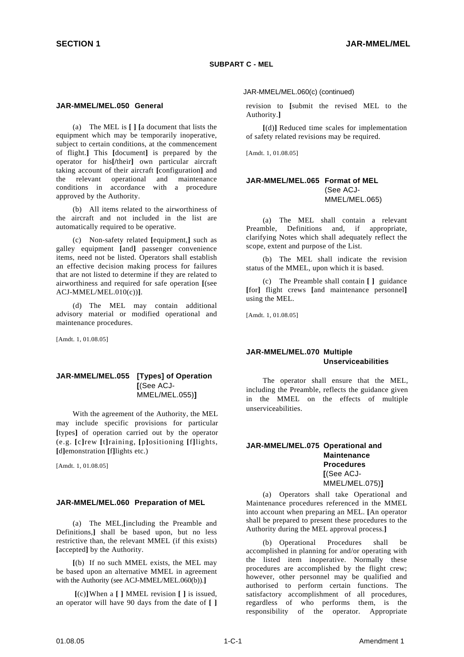# **SUBPART C - MEL**

#### **JAR-MMEL/MEL.050 General**

 (a) The MEL is **[ ] [**a document that lists the equipment which may be temporarily inoperative, subject to certain conditions, at the commencement of flight.**]** This **[**document**]** is prepared by the operator for his**[/**their**]** own particular aircraft taking account of their aircraft **[**configuration**]** and the relevant operational and maintenance conditions in accordance with a procedure approved by the Authority.

 (b) All items related to the airworthiness of the aircraft and not included in the list are automatically required to be operative.

 (c) Non-safety related **[**equipment,**]** such as galley equipment **[**and**]** passenger convenience items, need not be listed. Operators shall establish an effective decision making process for failures that are not listed to determine if they are related to airworthiness and required for safe operation **[**(see ACJ-MMEL/MEL.010(c))**]**.

 (d) The MEL may contain additional advisory material or modified operational and maintenance procedures.

[Amdt. 1, 01.08.05]

# **JAR-MMEL/MEL.055 [Types] of Operation [**(See ACJ-MMEL/MEL.055)**]**

 With the agreement of the Authority, the MEL may include specific provisions for particular **[**types**]** of operation carried out by the operator (e.g. **[**c**]**rew **[**t**]**raining, **[**p**]**ositioning **[**f**]**lights, **[**d**]**emonstration **[**f**]**lights etc.)

[Amdt. 1, 01.08.05]

#### **JAR-MMEL/MEL.060 Preparation of MEL**

 (a) The MEL,**[**including the Preamble and Definitions,**]** shall be based upon, but no less restrictive than, the relevant MMEL (if this exists) **[**accepted**]** by the Authority.

**[**(b) If no such MMEL exists, the MEL may be based upon an alternative MMEL in agreement with the Authority (see ACJ-MMEL/MEL.060(b)).**]** 

 **[**(c)**]** When a **[ ]** MMEL revision **[ ]** is issued, an operator will have 90 days from the date of **[ ]** JAR-MMEL/MEL.060(c) (continued)

revision to **[**submit the revised MEL to the Authority.**]**

 **[**(d)**]** Reduced time scales for implementation of safety related revisions may be required.

[Amdt. 1, 01.08.05]

# **JAR-MMEL/MEL.065 Format of MEL** (See ACJ-MMEL/MEL.065)

 (a) The MEL shall contain a relevant Preamble, Definitions and, if appropriate, clarifying Notes which shall adequately reflect the scope, extent and purpose of the List.

 (b) The MEL shall indicate the revision status of the MMEL, upon which it is based.

 (c) The Preamble shall contain **[ ]** guidance **[**for**]** flight crews **[**and maintenance personnel**]** using the MEL.

[Amdt. 1, 01.08.05]

# **JAR-MMEL/MEL.070 Multiple Unserviceabilities**

 The operator shall ensure that the MEL, including the Preamble, reflects the guidance given in the MMEL on the effects of multiple unserviceabilities.

# **JAR-MMEL/MEL.075 Operational and Maintenance Procedures [**(See ACJ-MMEL/MEL.075)**]**

 (a) Operators shall take Operational and Maintenance procedures referenced in the MMEL into account when preparing an MEL. **[**An operator shall be prepared to present these procedures to the Authority during the MEL approval process.**]** 

 (b) Operational Procedures shall be accomplished in planning for and/or operating with the listed item inoperative. Normally these procedures are accomplished by the flight crew; however, other personnel may be qualified and authorised to perform certain functions. The satisfactory accomplishment of all procedures, regardless of who performs them, is the responsibility of the operator. Appropriate